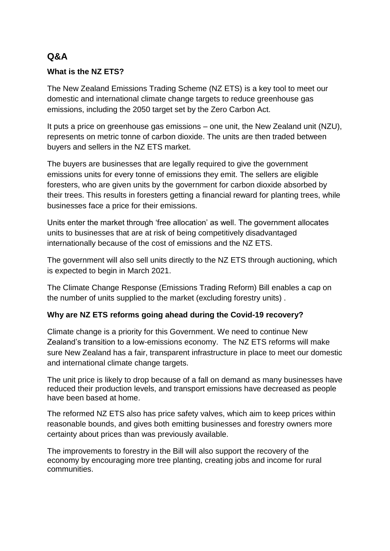# **Q&A**

### **What is the NZ ETS?**

The New Zealand Emissions Trading Scheme (NZ ETS) is a key tool to meet our domestic and international climate change targets to reduce greenhouse gas emissions, including the 2050 target set by the Zero Carbon Act.

It puts a price on greenhouse gas emissions – one unit, the New Zealand unit (NZU), represents on metric tonne of carbon dioxide. The units are then traded between buyers and sellers in the NZ ETS market.

The buyers are businesses that are legally required to give the government emissions units for every tonne of emissions they emit. The sellers are eligible foresters, who are given units by the government for carbon dioxide absorbed by their trees. This results in foresters getting a financial reward for planting trees, while businesses face a price for their emissions.

Units enter the market through 'free allocation' as well. The government allocates units to businesses that are at risk of being competitively disadvantaged internationally because of the cost of emissions and the NZ ETS.

The government will also sell units directly to the NZ ETS through auctioning, which is expected to begin in March 2021.

The Climate Change Response (Emissions Trading Reform) Bill enables a cap on the number of units supplied to the market (excluding forestry units) .

### **Why are NZ ETS reforms going ahead during the Covid-19 recovery?**

Climate change is a priority for this Government. We need to continue New Zealand's transition to a low-emissions economy. The NZ ETS reforms will make sure New Zealand has a fair, transparent infrastructure in place to meet our domestic and international climate change targets.

The unit price is likely to drop because of a fall on demand as many businesses have reduced their production levels, and transport emissions have decreased as people have been based at home.

The reformed NZ ETS also has price safety valves, which aim to keep prices within reasonable bounds, and gives both emitting businesses and forestry owners more certainty about prices than was previously available.

The improvements to forestry in the Bill will also support the recovery of the economy by encouraging more tree planting, creating jobs and income for rural communities.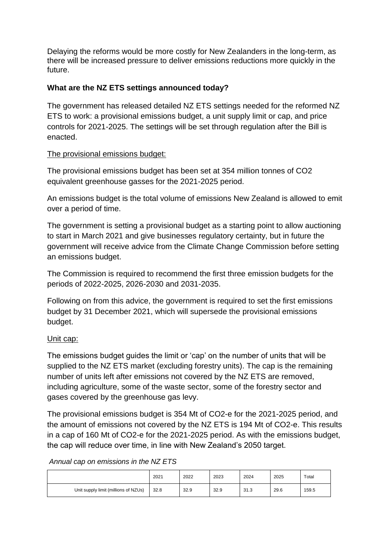Delaying the reforms would be more costly for New Zealanders in the long-term, as there will be increased pressure to deliver emissions reductions more quickly in the future.

## **What are the NZ ETS settings announced today?**

The government has released detailed NZ ETS settings needed for the reformed NZ ETS to work: a provisional emissions budget, a unit supply limit or cap, and price controls for 2021-2025. The settings will be set through regulation after the Bill is enacted.

### The provisional emissions budget:

The provisional emissions budget has been set at 354 million tonnes of CO2 equivalent greenhouse gasses for the 2021-2025 period.

An emissions budget is the total volume of emissions New Zealand is allowed to emit over a period of time.

The government is setting a provisional budget as a starting point to allow auctioning to start in March 2021 and give businesses regulatory certainty, but in future the government will receive advice from the Climate Change Commission before setting an emissions budget.

The Commission is required to recommend the first three emission budgets for the periods of 2022-2025, 2026-2030 and 2031-2035.

Following on from this advice, the government is required to set the first emissions budget by 31 December 2021, which will supersede the provisional emissions budget.

### Unit cap:

The emissions budget guides the limit or 'cap' on the number of units that will be supplied to the NZ ETS market (excluding forestry units). The cap is the remaining number of units left after emissions not covered by the NZ ETS are removed, including agriculture, some of the waste sector, some of the forestry sector and gases covered by the greenhouse gas levy.

The provisional emissions budget is 354 Mt of CO2-e for the 2021-2025 period, and the amount of emissions not covered by the NZ ETS is 194 Mt of CO2-e. This results in a cap of 160 Mt of CO2-e for the 2021-2025 period. As with the emissions budget, the cap will reduce over time, in line with New Zealand's 2050 target.

*Annual cap on emissions in the NZ ETS*

|                                      | 2021 | 2022 | 2023 | 2024 | 2025 | Total |
|--------------------------------------|------|------|------|------|------|-------|
| Unit supply limit (millions of NZUs) | 32.8 | 32.9 | 32.9 | 31.3 | 29.6 | 159.5 |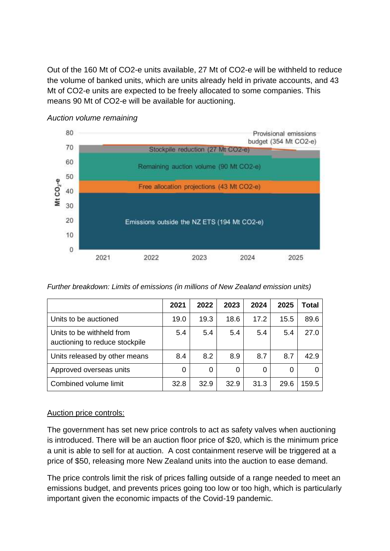Out of the 160 Mt of CO2-e units available, 27 Mt of CO2-e will be withheld to reduce the volume of banked units, which are units already held in private accounts, and 43 Mt of CO2-e units are expected to be freely allocated to some companies. This means 90 Mt of CO2-e will be available for auctioning.



#### *Auction volume remaining*

*Further breakdown: Limits of emissions (in millions of New Zealand emission units)*

|                                                             | 2021 | 2022 | 2023 | 2024 | 2025 | Total |
|-------------------------------------------------------------|------|------|------|------|------|-------|
| Units to be auctioned                                       | 19.0 | 19.3 | 18.6 | 17.2 | 15.5 | 89.6  |
| Units to be withheld from<br>auctioning to reduce stockpile | 5.4  | 5.4  | 5.4  | 5.4  | 5.4  | 27.0  |
| Units released by other means                               | 8.4  | 8.2  | 8.9  | 8.7  | 8.7  | 42.9  |
| Approved overseas units                                     | 0    | 0    | 0    | 0    | 0    |       |
| Combined volume limit                                       | 32.8 | 32.9 | 32.9 | 31.3 | 29.6 | 159.5 |

### Auction price controls:

The government has set new price controls to act as safety valves when auctioning is introduced. There will be an auction floor price of \$20, which is the minimum price a unit is able to sell for at auction. A cost containment reserve will be triggered at a price of \$50, releasing more New Zealand units into the auction to ease demand.

The price controls limit the risk of prices falling outside of a range needed to meet an emissions budget, and prevents prices going too low or too high, which is particularly important given the economic impacts of the Covid-19 pandemic.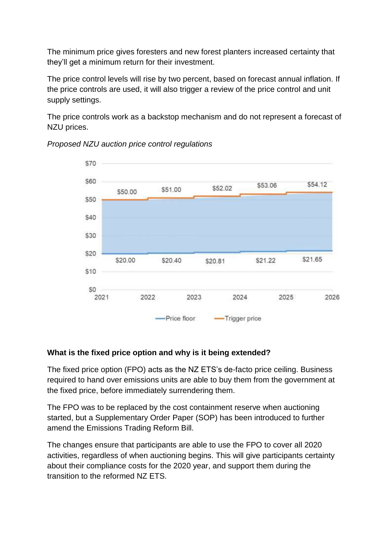The minimum price gives foresters and new forest planters increased certainty that they'll get a minimum return for their investment.

The price control levels will rise by two percent, based on forecast annual inflation. If the price controls are used, it will also trigger a review of the price control and unit supply settings.

The price controls work as a backstop mechanism and do not represent a forecast of NZU prices.



*Proposed NZU auction price control regulations*

# **What is the fixed price option and why is it being extended?**

The fixed price option (FPO) acts as the NZ ETS's de-facto price ceiling. Business required to hand over emissions units are able to buy them from the government at the fixed price, before immediately surrendering them.

The FPO was to be replaced by the cost containment reserve when auctioning started, but a Supplementary Order Paper (SOP) has been introduced to further amend the Emissions Trading Reform Bill.

The changes ensure that participants are able to use the FPO to cover all 2020 activities, regardless of when auctioning begins. This will give participants certainty about their compliance costs for the 2020 year, and support them during the transition to the reformed NZ ETS.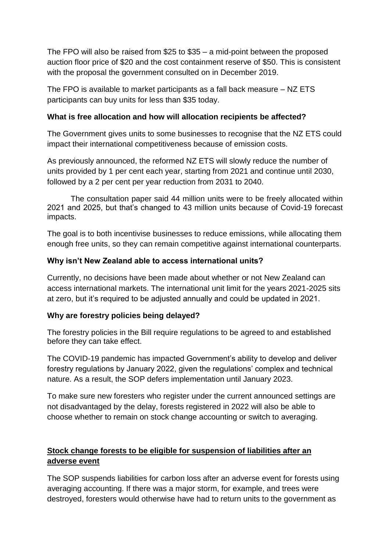The FPO will also be raised from \$25 to \$35 – a mid-point between the proposed auction floor price of \$20 and the cost containment reserve of \$50. This is consistent with the proposal the government consulted on in December 2019.

The FPO is available to market participants as a fall back measure – NZ ETS participants can buy units for less than \$35 today.

#### **What is free allocation and how will allocation recipients be affected?**

The Government gives units to some businesses to recognise that the NZ ETS could impact their international competitiveness because of emission costs.

As previously announced, the reformed NZ ETS will slowly reduce the number of units provided by 1 per cent each year, starting from 2021 and continue until 2030, followed by a 2 per cent per year reduction from 2031 to 2040.

The consultation paper said 44 million units were to be freely allocated within 2021 and 2025, but that's changed to 43 million units because of Covid-19 forecast impacts.

The goal is to both incentivise businesses to reduce emissions, while allocating them enough free units, so they can remain competitive against international counterparts.

### **Why isn't New Zealand able to access international units?**

Currently, no decisions have been made about whether or not New Zealand can access international markets. The international unit limit for the years 2021-2025 sits at zero, but it's required to be adjusted annually and could be updated in 2021.

### **Why are forestry policies being delayed?**

The forestry policies in the Bill require regulations to be agreed to and established before they can take effect.

The COVID-19 pandemic has impacted Government's ability to develop and deliver forestry regulations by January 2022, given the regulations' complex and technical nature. As a result, the SOP defers implementation until January 2023.

To make sure new foresters who register under the current announced settings are not disadvantaged by the delay, forests registered in 2022 will also be able to choose whether to remain on stock change accounting or switch to averaging.

# **Stock change forests to be eligible for suspension of liabilities after an adverse event**

The SOP suspends liabilities for carbon loss after an adverse event for forests using averaging accounting. If there was a major storm, for example, and trees were destroyed, foresters would otherwise have had to return units to the government as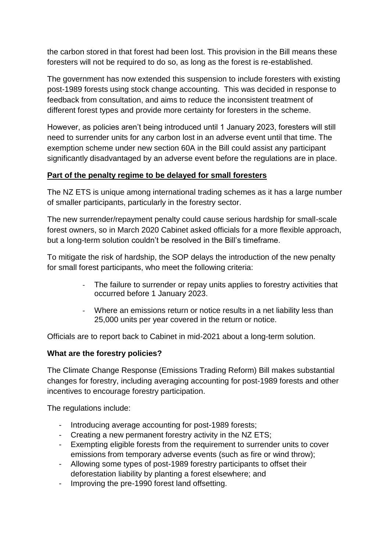the carbon stored in that forest had been lost. This provision in the Bill means these foresters will not be required to do so, as long as the forest is re-established.

The government has now extended this suspension to include foresters with existing post-1989 forests using stock change accounting. This was decided in response to feedback from consultation, and aims to reduce the inconsistent treatment of different forest types and provide more certainty for foresters in the scheme.

However, as policies aren't being introduced until 1 January 2023, foresters will still need to surrender units for any carbon lost in an adverse event until that time. The exemption scheme under new section 60A in the Bill could assist any participant significantly disadvantaged by an adverse event before the regulations are in place.

#### **Part of the penalty regime to be delayed for small foresters**

The NZ ETS is unique among international trading schemes as it has a large number of smaller participants, particularly in the forestry sector.

The new surrender/repayment penalty could cause serious hardship for small-scale forest owners, so in March 2020 Cabinet asked officials for a more flexible approach, but a long-term solution couldn't be resolved in the Bill's timeframe.

To mitigate the risk of hardship, the SOP delays the introduction of the new penalty for small forest participants, who meet the following criteria:

- The failure to surrender or repay units applies to forestry activities that occurred before 1 January 2023.
- Where an emissions return or notice results in a net liability less than 25,000 units per year covered in the return or notice.

Officials are to report back to Cabinet in mid-2021 about a long-term solution.

### **What are the forestry policies?**

The Climate Change Response (Emissions Trading Reform) Bill makes substantial changes for forestry, including averaging accounting for post-1989 forests and other incentives to encourage forestry participation.

The regulations include:

- Introducing average accounting for post-1989 forests;
- Creating a new permanent forestry activity in the NZ ETS;
- Exempting eligible forests from the requirement to surrender units to cover emissions from temporary adverse events (such as fire or wind throw);
- Allowing some types of post-1989 forestry participants to offset their deforestation liability by planting a forest elsewhere; and
- Improving the pre-1990 forest land offsetting.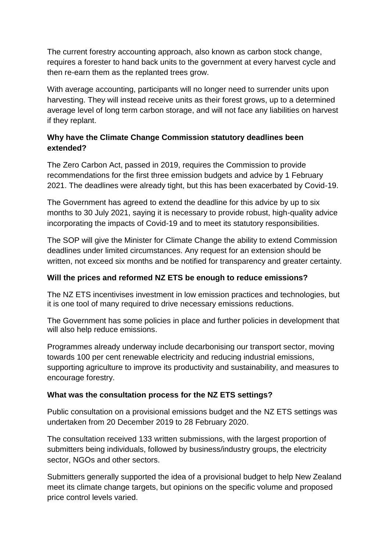The current forestry accounting approach, also known as carbon stock change, requires a forester to hand back units to the government at every harvest cycle and then re-earn them as the replanted trees grow.

With average accounting, participants will no longer need to surrender units upon harvesting. They will instead receive units as their forest grows, up to a determined average level of long term carbon storage, and will not face any liabilities on harvest if they replant.

# **Why have the Climate Change Commission statutory deadlines been extended?**

The Zero Carbon Act, passed in 2019, requires the Commission to provide recommendations for the first three emission budgets and advice by 1 February 2021. The deadlines were already tight, but this has been exacerbated by Covid-19.

The Government has agreed to extend the deadline for this advice by up to six months to 30 July 2021, saying it is necessary to provide robust, high-quality advice incorporating the impacts of Covid-19 and to meet its statutory responsibilities.

The SOP will give the Minister for Climate Change the ability to extend Commission deadlines under limited circumstances. Any request for an extension should be written, not exceed six months and be notified for transparency and greater certainty.

## **Will the prices and reformed NZ ETS be enough to reduce emissions?**

The NZ ETS incentivises investment in low emission practices and technologies, but it is one tool of many required to drive necessary emissions reductions.

The Government has some policies in place and further policies in development that will also help reduce emissions.

Programmes already underway include decarbonising our transport sector, moving towards 100 per cent renewable electricity and reducing industrial emissions, supporting agriculture to improve its productivity and sustainability, and measures to encourage forestry.

### **What was the consultation process for the NZ ETS settings?**

Public consultation on a provisional emissions budget and the NZ ETS settings was undertaken from 20 December 2019 to 28 February 2020.

The consultation received 133 written submissions, with the largest proportion of submitters being individuals, followed by business/industry groups, the electricity sector, NGOs and other sectors.

Submitters generally supported the idea of a provisional budget to help New Zealand meet its climate change targets, but opinions on the specific volume and proposed price control levels varied.